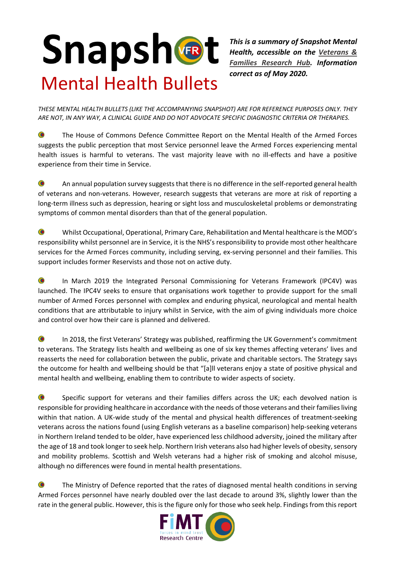## Snapshet Mental Health Bullets

*This is a summary of Snapshot Mental Health, accessible on the [Veterans &](https://www.vfrhub.com/research-summaries/)  [Families Research Hub.](https://www.vfrhub.com/research-summaries/) Information correct as of May 2020.*

*THESE MENTAL HEALTH BULLETS (LIKE THE ACCOMPANYING SNAPSHOT) ARE FOR REFERENCE PURPOSES ONLY. THEY ARE NOT, IN ANY WAY, A CLINICAL GUIDE AND DO NOT ADVOCATE SPECIFIC DIAGNOSTIC CRITERIA OR THERAPIES.*

 $\bullet$ The House of Commons Defence Committee Report on the Mental Health of the Armed Forces suggests the public perception that most Service personnel leave the Armed Forces experiencing mental health issues is harmful to veterans. The vast majority leave with no ill-effects and have a positive experience from their time in Service.

 $\bullet$ An annual population survey suggests that there is no difference in the self-reported general health of veterans and non-veterans. However, research suggests that veterans are more at risk of reporting a long-term illness such as depression, hearing or sight loss and musculoskeletal problems or demonstrating symptoms of common mental disorders than that of the general population.

 $\bullet$ Whilst Occupational, Operational, Primary Care, Rehabilitation and Mental healthcare is the MOD's responsibility whilst personnel are in Service, it is the NHS's responsibility to provide most other healthcare services for the Armed Forces community, including serving, ex-serving personnel and their families. This support includes former Reservists and those not on active duty.

 $\bullet$ In March 2019 the Integrated Personal Commissioning for Veterans Framework (IPC4V) was launched. The IPC4V seeks to ensure that organisations work together to provide support for the small number of Armed Forces personnel with complex and enduring physical, neurological and mental health conditions that are attributable to injury whilst in Service, with the aim of giving individuals more choice and control over how their care is planned and delivered.

 $\bullet$ In 2018, the first Veterans' Strategy was published, reaffirming the UK Government's commitment to veterans. The Strategy lists health and wellbeing as one of six key themes affecting veterans' lives and reasserts the need for collaboration between the public, private and charitable sectors. The Strategy says the outcome for health and wellbeing should be that "[a]ll veterans enjoy a state of positive physical and mental health and wellbeing, enabling them to contribute to wider aspects of society.

 $\bullet$ Specific support for veterans and their families differs across the UK; each devolved nation is responsible for providing healthcare in accordance with the needs of those veterans and their families living within that nation. A UK-wide study of the mental and physical health differences of treatment-seeking veterans across the nations found (using English veterans as a baseline comparison) help-seeking veterans in Northern Ireland tended to be older, have experienced less childhood adversity, joined the military after the age of 18 and took longer to seek help. Northern Irish veterans also had higher levels of obesity, sensory and mobility problems. Scottish and Welsh veterans had a higher risk of smoking and alcohol misuse, although no differences were found in mental health presentations.

 $\bullet$ The Ministry of Defence reported that the rates of diagnosed mental health conditions in serving Armed Forces personnel have nearly doubled over the last decade to around 3%, slightly lower than the rate in the general public. However, this is the figure only for those who seek help. Findings from this report